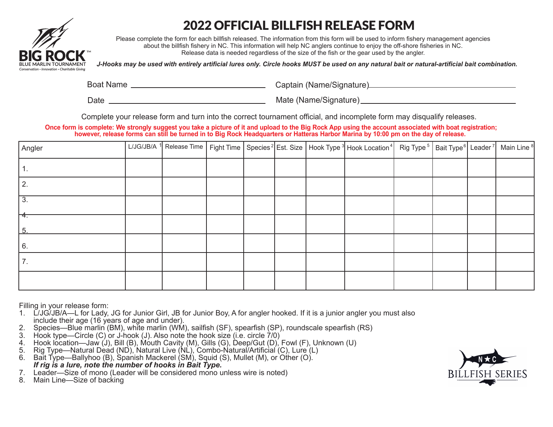

# 2022 OFFICIAL BILLFISH RELEASE FORM

Please complete the form for each billfish released. The information from this form will be used to inform fishery management agencies about the billfish fishery in NC. This information will help NC anglers continue to enjoy the off-shore fisheries in NC. Release data is needed regardless of the size of the fish or the gear used by the angler.

*J-Hooks may be used with entirely artificial lures only. Circle hooks MUST be used on any natural bait or natural-artificial bait combination.*

Boat Name Captain (Name/Signature)

Date Mate (Name/Signature)

Complete your release form and turn into the correct tournament official, and incomplete form may disqualify releases.

**Once form is complete: We strongly suggest you take a picture of it and upload to the Big Rock App using the account associated with boat registration; however, release forms can still be turned in to Big Rock Headquarters or Hatteras Harbor Marina by 10:00 pm on the day of release.** 

| Angler                |  |  |  | L/JG/JB/A 1 Release Time   Fight Time   Species <sup>2</sup> Est. Size   Hook Type <sup>3</sup> Hook Location <sup>4</sup>   Rig Type <sup>5</sup>   Bait Type <sup>6</sup> Leader 7   Main Line <sup>8</sup> |  |  |
|-----------------------|--|--|--|---------------------------------------------------------------------------------------------------------------------------------------------------------------------------------------------------------------|--|--|
|                       |  |  |  |                                                                                                                                                                                                               |  |  |
| 2.                    |  |  |  |                                                                                                                                                                                                               |  |  |
| $\overline{3}$ .      |  |  |  |                                                                                                                                                                                                               |  |  |
| F <del>4.</del><br>-5 |  |  |  |                                                                                                                                                                                                               |  |  |
| 6.                    |  |  |  |                                                                                                                                                                                                               |  |  |
| 7.                    |  |  |  |                                                                                                                                                                                                               |  |  |
|                       |  |  |  |                                                                                                                                                                                                               |  |  |

Filling in your release form:

- 1. L/JG/JB/A—L for Lady, JG for Junior Girl, JB for Junior Boy, A for angler hooked. If it is a junior angler you must also include their age (16 years of age and under).
- 2. Species—Blue marlin (BM), white marlin (WM), sailfish (SF), spearfish (SP), roundscale spearfish (RS)
- 3. Hook type—Circle (C) or J-hook (J). Also note the hook size (i.e. circle 7/0)
- 4. Hook location—Jaw (J), Bill (B), Mouth Cavity (M), Gills (G), Deep/Gut (D), Fowl (F), Unknown (U)<br>5. Rig Type—Natural Dead (ND), Natural Live (NL), Combo-Natural/Artificial (C), Lure (L)
- 5. Rig Type—Natural Dead (ND), Natural Live (NL), Combo-Natural/Artificial (C), Lure (L)
- 6. Bait Type—Ballyhoo (B), Spanish Mackerel (SM), Squid (S), Mullet (M), or Other (O).  *If rig is a lure, note the number of hooks in Bait Type.*
- 7. Leader—Size of mono (Leader will be considered mono unless wire is noted)
- 8. Main Line—Size of backing